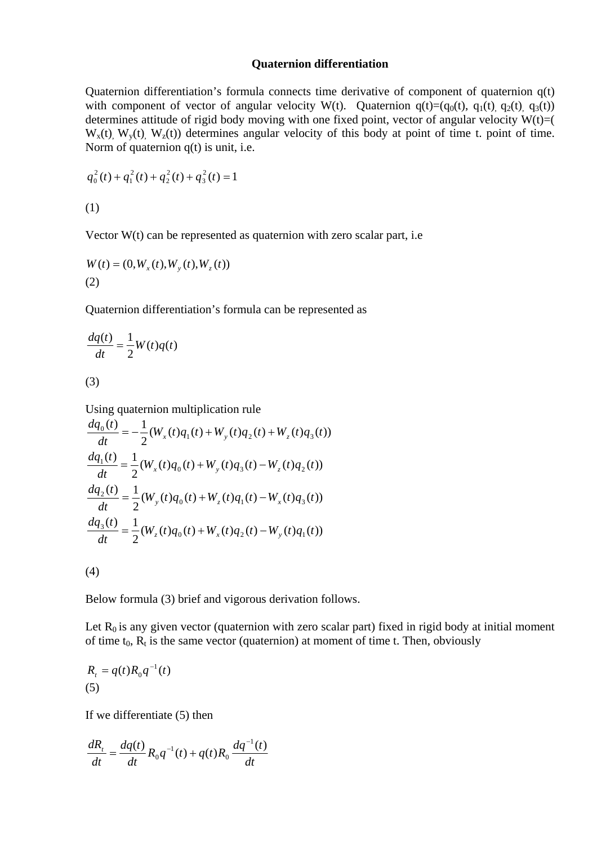## **Quaternion differentiation**

Quaternion differentiation's formula connects time derivative of component of quaternion q(t) with component of vector of angular velocity W(t). Quaternion  $q(t)=(q_0(t), q_1(t), q_2(t), q_3(t))$ determines attitude of rigid body moving with one fixed point, vector of angular velocity  $W(t)=($  $W_x(t)$ ,  $W_y(t)$ ,  $W_z(t)$  determines angular velocity of this body at point of time t. point of time. Norm of quaternion q(t) is unit, i.e.

$$
q_0^2(t) + q_1^2(t) + q_2^2(t) + q_3^2(t) = 1
$$

(1)

Vector  $W(t)$  can be represented as quaternion with zero scalar part, i.e.

$$
W(t) = (0, W_x(t), W_y(t), W_z(t))
$$
  
(2)

Quaternion differentiation's formula can be represented as

$$
\frac{dq(t)}{dt} = \frac{1}{2}W(t)q(t)
$$
\n(3)

Using quaternion multiplication rule

$$
\frac{dq_0(t)}{dt} = -\frac{1}{2}(W_x(t)q_1(t) + W_y(t)q_2(t) + W_z(t)q_3(t))
$$
  
\n
$$
\frac{dq_1(t)}{dt} = \frac{1}{2}(W_x(t)q_0(t) + W_y(t)q_3(t) - W_z(t)q_2(t))
$$
  
\n
$$
\frac{dq_2(t)}{dt} = \frac{1}{2}(W_y(t)q_0(t) + W_z(t)q_1(t) - W_x(t)q_3(t))
$$
  
\n
$$
\frac{dq_3(t)}{dt} = \frac{1}{2}(W_z(t)q_0(t) + W_x(t)q_2(t) - W_y(t)q_1(t))
$$

(4)

Below formula (3) brief and vigorous derivation follows.

Let  $R_0$  is any given vector (quaternion with zero scalar part) fixed in rigid body at initial moment of time  $t_0$ ,  $R_t$  is the same vector (quaternion) at moment of time t. Then, obviously

$$
R_t = q(t)R_0q^{-1}(t)
$$
  
(5)

If we differentiate (5) then

$$
\frac{dR_t}{dt} = \frac{dq(t)}{dt} R_0 q^{-1}(t) + q(t)R_0 \frac{dq^{-1}(t)}{dt}
$$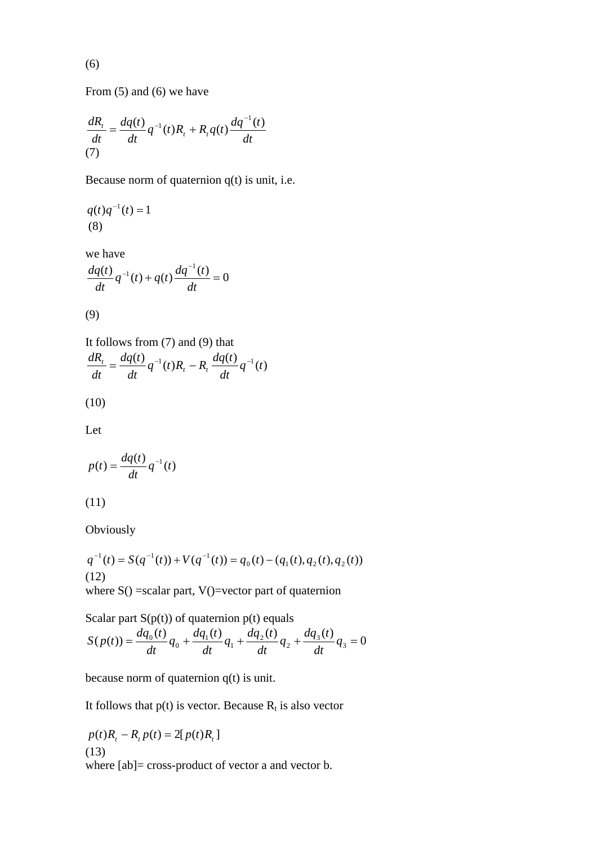$$
(6)
$$

From (5) and (6) we have

$$
\frac{dR_t}{dt} = \frac{dq(t)}{dt}q^{-1}(t)R_t + R_t q(t)\frac{dq^{-1}(t)}{dt}
$$
\n(7)

Because norm of quaternion q(t) is unit, i.e.

$$
q(t)q^{-1}(t) = 1
$$
  
(8)

we have

$$
\frac{dq(t)}{dt}q^{-1}(t) + q(t)\frac{dq^{-1}(t)}{dt} = 0
$$

$$
(9)
$$

It follows from (7) and (9) that  
\n
$$
\frac{dR_t}{dt} = \frac{dq(t)}{dt}q^{-1}(t)R_t - R_t \frac{dq(t)}{dt}q^{-1}(t)
$$

$$
(10)
$$

Let

$$
p(t) = \frac{dq(t)}{dt}q^{-1}(t)
$$

$$
(11)
$$

Obviously

 $q^{-1}(t) = S(q^{-1}(t)) + V(q^{-1}(t)) = q_0(t) - (q_1(t), q_2(t), q_2(t))$ (12) where  $S() = scalar part$ ,  $V() = vector part of quaternion$ 

Scalar part  $S(p(t))$  of quaternion  $p(t)$  equals  $(p(t)) = \frac{dq_0(t)}{dt}q_0 + \frac{dq_1(t)}{dt}q_1 + \frac{dq_2(t)}{dt}q_2 + \frac{dq_3(t)}{dt}q_3 = 0$  $=\frac{dq_0(t)}{dt}q_0 + \frac{dq_1(t)}{dt}q_1 + \frac{dq_2(t)}{dt}q_2 + \frac{dq_3(t)}{dt}q_3 =$  $\frac{d_0(t)}{dt}q_0 + \frac{dq_1(t)}{dt}q_1 + \frac{dq_2(t)}{dt}q_2$  $S(p(t)) = \frac{dq_0(t)}{dt}$ 

because norm of quaternion q(t) is unit.

It follows that  $p(t)$  is vector. Because  $R_t$  is also vector

$$
p(t)R_t - R_t p(t) = 2[p(t)R_t]
$$
  
(13)  
where [ab]= cross-product of vector a and vector b.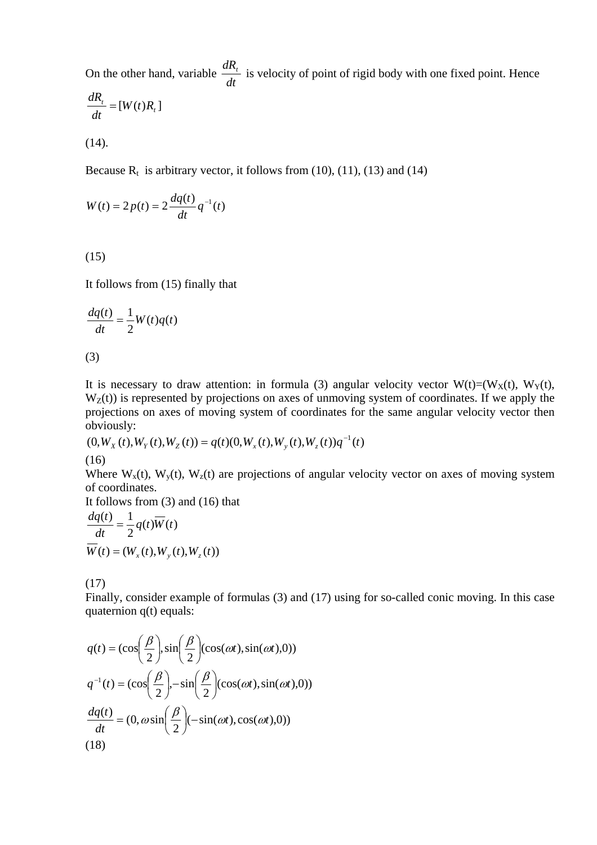On the other hand, variable  $\frac{dA}{dt}$  $\frac{dR_t}{dt}$  is velocity of point of rigid body with one fixed point. Hence

$$
\frac{dR_t}{dt} = [W(t)R_t]
$$

(14).

Because  $R_t$  is arbitrary vector, it follows from (10), (11), (13) and (14)

$$
W(t) = 2p(t) = 2\frac{dq(t)}{dt}q^{-1}(t)
$$

(15)

It follows from (15) finally that

$$
\frac{dq(t)}{dt} = \frac{1}{2}W(t)q(t)
$$

(3)

It is necessary to draw attention: in formula (3) angular velocity vector  $W(t)=(W_X(t), W_Y(t),$  $W_Z(t)$ ) is represented by projections on axes of unmoving system of coordinates. If we apply the projections on axes of moving system of coordinates for the same angular velocity vector then obviously:

$$
(0, W_X(t), W_Y(t), W_Z(t)) = q(t)(0, W_x(t), W_y(t), W_z(t))q^{-1}(t)
$$

(16)

Where  $W_x(t)$ ,  $W_y(t)$ ,  $W_z(t)$  are projections of angular velocity vector on axes of moving system of coordinates.

It follows from (3) and (16) that

$$
\frac{dq(t)}{dt} = \frac{1}{2}q(t)\overline{W}(t)
$$

$$
\overline{W}(t) = (W_x(t), W_y(t), W_z(t))
$$

(17)

Finally, consider example of formulas (3) and (17) using for so-called conic moving. In this case quaternion q(t) equals:

$$
q(t) = (\cos\left(\frac{\beta}{2}\right), \sin\left(\frac{\beta}{2}\right)(\cos(\omega t), \sin(\omega t), 0))
$$

$$
q^{-1}(t) = (\cos\left(\frac{\beta}{2}\right), -\sin\left(\frac{\beta}{2}\right)(\cos(\omega t), \sin(\omega t), 0))
$$

$$
\frac{dq(t)}{dt} = (0, \omega \sin\left(\frac{\beta}{2}\right)(-\sin(\omega t), \cos(\omega t), 0))
$$
(18)